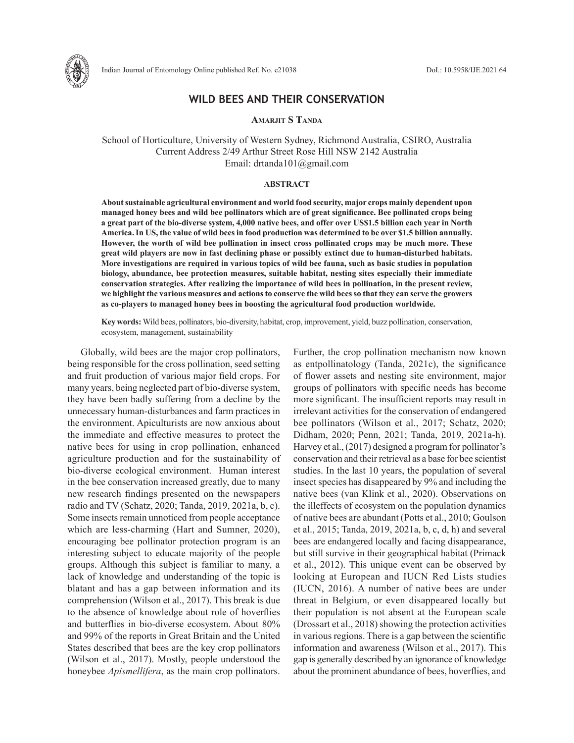

# **WILD BEES AND THEIR CONSERVATION**

**Amarjit S Tanda**

School of Horticulture, University of Western Sydney, Richmond Australia, CSIRO, Australia Current Address 2/49 Arthur Street Rose Hill NSW 2142 Australia Email: drtanda101@gmail.com

#### **ABSTRACT**

**About sustainable agricultural environment and world food security, major crops mainly dependent upon managed honey bees and wild bee pollinators which are of great significance. Bee pollinated crops being a great part of the bio-diverse system, 4,000 native bees, and offer over US\$1.5 billion each year in North America. In US, the value of wild bees in food production was determined to be over \$1.5 billion annually. However, the worth of wild bee pollination in insect cross pollinated crops may be much more. These great wild players are now in fast declining phase or possibly extinct due to human-disturbed habitats. More investigations are required in various topics of wild bee fauna, such as basic studies in population biology, abundance, bee protection measures, suitable habitat, nesting sites especially their immediate conservation strategies. After realizing the importance of wild bees in pollination, in the present review, we highlight the various measures and actions to conserve the wild bees so that they can serve the growers as co-players to managed honey bees in boosting the agricultural food production worldwide.**

**Key words:** Wild bees, pollinators, bio-diversity, habitat, crop, improvement, yield, buzz pollination, conservation, ecosystem, management, sustainability

Globally, wild bees are the major crop pollinators, being responsible for the cross pollination, seed setting and fruit production of various major field crops. For many years, being neglected part of bio-diverse system, they have been badly suffering from a decline by the unnecessary human-disturbances and farm practices in the environment. Apiculturists are now anxious about the immediate and effective measures to protect the native bees for using in crop pollination, enhanced agriculture production and for the sustainability of bio-diverse ecological environment. Human interest in the bee conservation increased greatly, due to many new research findings presented on the newspapers radio and TV (Schatz, 2020; Tanda, 2019, 2021a, b, c). Some insects remain unnoticed from people acceptance which are less-charming (Hart and Sumner, 2020), encouraging bee pollinator protection program is an interesting subject to educate majority of the people groups. Although this subject is familiar to many, a lack of knowledge and understanding of the topic is blatant and has a gap between information and its comprehension (Wilson et al., 2017). This break is due to the absence of knowledge about role of hoverflies and butterflies in bio-diverse ecosystem. About 80% and 99% of the reports in Great Britain and the United States described that bees are the key crop pollinators (Wilson et al., 2017). Mostly, people understood the honeybee *Apismellifera*, as the main crop pollinators.

Further, the crop pollination mechanism now known as entpollinatology (Tanda, 2021c), the significance of flower assets and nesting site environment, major groups of pollinators with specific needs has become more significant. The insufficient reports may result in irrelevant activities for the conservation of endangered bee pollinators (Wilson et al., 2017; Schatz, 2020; Didham, 2020; Penn, 2021; Tanda, 2019, 2021a-h). Harvey et al., (2017) designed a program for pollinator's conservation and their retrieval as a base for bee scientist studies. In the last 10 years, the population of several insect species has disappeared by 9% and including the native bees (van Klink et al., 2020). Observations on the illeffects of ecosystem on the population dynamics of native bees are abundant (Potts et al., 2010; Goulson et al., 2015; Tanda, 2019, 2021a, b, c, d, h) and several bees are endangered locally and facing disappearance, but still survive in their geographical habitat (Primack et al., 2012). This unique event can be observed by looking at European and IUCN Red Lists studies (IUCN, 2016). A number of native bees are under threat in Belgium, or even disappeared locally but their population is not absent at the European scale (Drossart et al., 2018) showing the protection activities in various regions. There is a gap between the scientific information and awareness (Wilson et al., 2017). This gap is generally described by an ignorance of knowledge about the prominent abundance of bees, hoverflies, and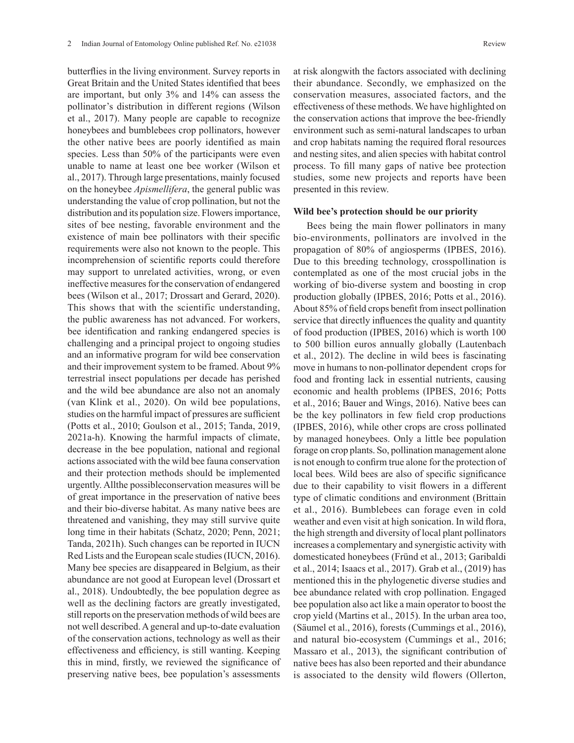butterflies in the living environment. Survey reports in Great Britain and the United States identified that bees are important, but only 3% and 14% can assess the pollinator's distribution in different regions (Wilson et al., 2017). Many people are capable to recognize honeybees and bumblebees crop pollinators, however the other native bees are poorly identified as main species. Less than 50% of the participants were even unable to name at least one bee worker (Wilson et al., 2017). Through large presentations, mainly focused on the honeybee *Apismellifera*, the general public was understanding the value of crop pollination, but not the distribution and its population size. Flowers importance, sites of bee nesting, favorable environment and the existence of main bee pollinators with their specific requirements were also not known to the people. This incomprehension of scientific reports could therefore may support to unrelated activities, wrong, or even ineffective measures for the conservation of endangered bees (Wilson et al., 2017; Drossart and Gerard, 2020). This shows that with the scientific understanding, the public awareness has not advanced. For workers, bee identification and ranking endangered species is challenging and a principal project to ongoing studies and an informative program for wild bee conservation and their improvement system to be framed. About 9% terrestrial insect populations per decade has perished and the wild bee abundance are also not an anomaly (van Klink et al., 2020). On wild bee populations, studies on the harmful impact of pressures are sufficient (Potts et al., 2010; Goulson et al., 2015; Tanda, 2019, 2021a-h). Knowing the harmful impacts of climate, decrease in the bee population, national and regional actions associated with the wild bee fauna conservation and their protection methods should be implemented urgently. Allthe possibleconservation measures will be of great importance in the preservation of native bees and their bio-diverse habitat. As many native bees are threatened and vanishing, they may still survive quite long time in their habitats (Schatz, 2020; Penn, 2021; Tanda, 2021h). Such changes can be reported in IUCN Red Lists and the European scale studies (IUCN, 2016). Many bee species are disappeared in Belgium, as their abundance are not good at European level (Drossart et al., 2018). Undoubtedly, the bee population degree as well as the declining factors are greatly investigated, still reports on the preservation methods of wild bees are not well described. A general and up-to-date evaluation of the conservation actions, technology as well as their effectiveness and efficiency, is still wanting. Keeping this in mind, firstly, we reviewed the significance of preserving native bees, bee population's assessments

at risk alongwith the factors associated with declining their abundance. Secondly, we emphasized on the conservation measures, associated factors, and the effectiveness of these methods. We have highlighted on the conservation actions that improve the bee-friendly environment such as semi-natural landscapes to urban and crop habitats naming the required floral resources and nesting sites, and alien species with habitat control process. To fill many gaps of native bee protection studies, some new projects and reports have been presented in this review.

#### **Wild bee's protection should be our priority**

Bees being the main flower pollinators in many bio-environments, pollinators are involved in the propagation of 80% of angiosperms (IPBES, 2016). Due to this breeding technology, crosspollination is contemplated as one of the most crucial jobs in the working of bio-diverse system and boosting in crop production globally (IPBES, 2016; Potts et al., 2016). About 85% of field crops benefit from insect pollination service that directly influences the quality and quantity of food production (IPBES, 2016) which is worth 100 to 500 billion euros annually globally (Lautenbach et al., 2012). The decline in wild bees is fascinating move in humans to non-pollinator dependent crops for food and fronting lack in essential nutrients, causing economic and health problems (IPBES, 2016; Potts et al., 2016; Bauer and Wings, 2016). Native bees can be the key pollinators in few field crop productions (IPBES, 2016), while other crops are cross pollinated by managed honeybees. Only a little bee population forage on crop plants. So, pollination management alone is not enough to confirm true alone for the protection of local bees. Wild bees are also of specific significance due to their capability to visit flowers in a different type of climatic conditions and environment (Brittain et al., 2016). Bumblebees can forage even in cold weather and even visit at high sonication. In wild flora, the high strength and diversity of local plant pollinators increases a complementary and synergistic activity with domesticated honeybees (Fründ et al., 2013; Garibaldi et al., 2014; Isaacs et al., 2017). Grab et al., (2019) has mentioned this in the phylogenetic diverse studies and bee abundance related with crop pollination. Engaged bee population also act like a main operator to boost the crop yield (Martins et al., 2015). In the urban area too, (Säumel et al., 2016), forests (Cummings et al., 2016), and natural bio-ecosystem (Cummings et al., 2016; Massaro et al., 2013), the significant contribution of native bees has also been reported and their abundance is associated to the density wild flowers (Ollerton,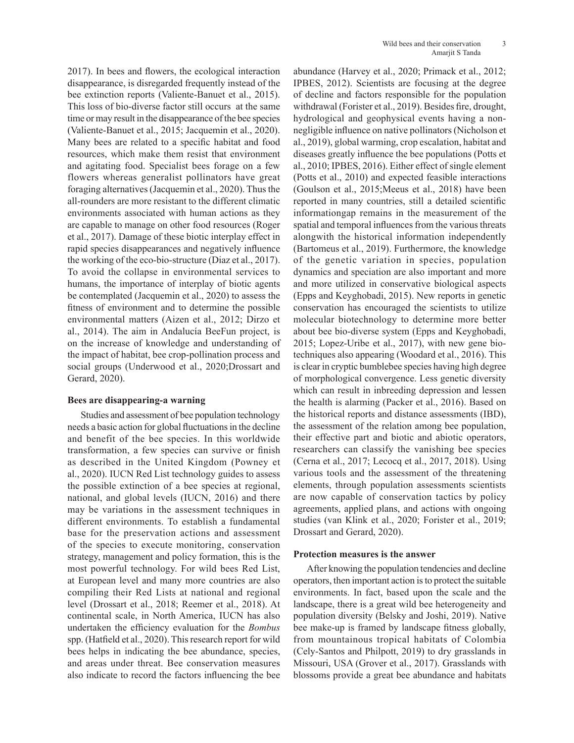2017). In bees and flowers, the ecological interaction disappearance, is disregarded frequently instead of the bee extinction reports (Valiente-Banuet et al., 2015). This loss of bio-diverse factor still occurs at the same time or may result in the disappearance of the bee species (Valiente-Banuet et al., 2015; Jacquemin et al., 2020). Many bees are related to a specific habitat and food resources, which make them resist that environment and agitating food. Specialist bees forage on a few flowers whereas generalist pollinators have great foraging alternatives (Jacquemin et al., 2020). Thus the all-rounders are more resistant to the different climatic environments associated with human actions as they are capable to manage on other food resources (Roger et al., 2017). Damage of these biotic interplay effect in rapid species disappearances and negatively influence the working of the eco-bio-structure (Diaz et al., 2017). To avoid the collapse in environmental services to humans, the importance of interplay of biotic agents be contemplated (Jacquemin et al., 2020) to assess the fitness of environment and to determine the possible environmental matters (Aizen et al., 2012; Dirzo et al., 2014). The aim in Andalucía BeeFun project, is on the increase of knowledge and understanding of the impact of habitat, bee crop-pollination process and social groups (Underwood et al., 2020;Drossart and Gerard, 2020).

## **Bees are disappearing-a warning**

Studies and assessment of bee population technology needs a basic action for global fluctuations in the decline and benefit of the bee species. In this worldwide transformation, a few species can survive or finish as described in the United Kingdom (Powney et al., 2020). IUCN Red List technology guides to assess the possible extinction of a bee species at regional, national, and global levels (IUCN, 2016) and there may be variations in the assessment techniques in different environments. To establish a fundamental base for the preservation actions and assessment of the species to execute monitoring, conservation strategy, management and policy formation, this is the most powerful technology. For wild bees Red List, at European level and many more countries are also compiling their Red Lists at national and regional level (Drossart et al., 2018; Reemer et al., 2018). At continental scale, in North America, IUCN has also undertaken the efficiency evaluation for the *Bombus* spp. (Hatfield et al., 2020). This research report for wild bees helps in indicating the bee abundance, species, and areas under threat. Bee conservation measures also indicate to record the factors influencing the bee

abundance (Harvey et al., 2020; Primack et al., 2012; IPBES, 2012). Scientists are focusing at the degree of decline and factors responsible for the population withdrawal (Forister et al., 2019). Besides fire, drought, hydrological and geophysical events having a nonnegligible influence on native pollinators (Nicholson et al., 2019), global warming, crop escalation, habitat and diseases greatly influence the bee populations (Potts et al., 2010; IPBES, 2016). Either effect of single element (Potts et al., 2010) and expected feasible interactions (Goulson et al., 2015;Meeus et al., 2018) have been reported in many countries, still a detailed scientific informationgap remains in the measurement of the spatial and temporal influences from the various threats alongwith the historical information independently (Bartomeus et al., 2019). Furthermore, the knowledge of the genetic variation in species, population dynamics and speciation are also important and more and more utilized in conservative biological aspects (Epps and Keyghobadi, 2015). New reports in genetic conservation has encouraged the scientists to utilize molecular biotechnology to determine more better about bee bio-diverse system (Epps and Keyghobadi, 2015; Lopez-Uribe et al., 2017), with new gene biotechniques also appearing (Woodard et al., 2016). This is clear in cryptic bumblebee species having high degree of morphological convergence. Less genetic diversity which can result in inbreeding depression and lessen the health is alarming (Packer et al., 2016). Based on the historical reports and distance assessments (IBD), the assessment of the relation among bee population, their effective part and biotic and abiotic operators, researchers can classify the vanishing bee species (Cerna et al., 2017; Lecocq et al., 2017, 2018). Using various tools and the assessment of the threatening elements, through population assessments scientists are now capable of conservation tactics by policy agreements, applied plans, and actions with ongoing studies (van Klink et al., 2020; Forister et al., 2019; Drossart and Gerard, 2020).

### **Protection measures is the answer**

After knowing the population tendencies and decline operators, then important action is to protect the suitable environments. In fact, based upon the scale and the landscape, there is a great wild bee heterogeneity and population diversity (Belsky and Joshi, 2019). Native bee make-up is framed by landscape fitness globally, from mountainous tropical habitats of Colombia (Cely-Santos and Philpott, 2019) to dry grasslands in Missouri, USA (Grover et al., 2017). Grasslands with blossoms provide a great bee abundance and habitats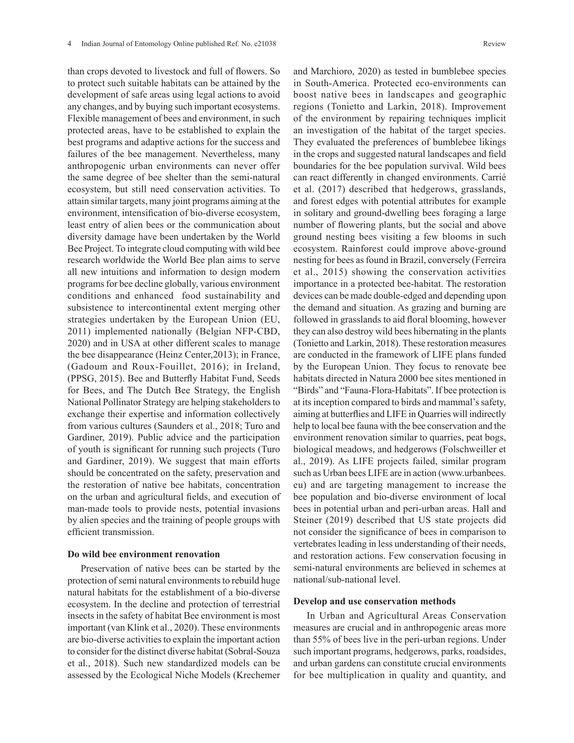than crops devoted to livestock and full of flowers. So to protect such suitable habitats can be attained by the development of safe areas using legal actions to avoid any changes, and by buying such important ecosystems. Flexible management of bees and environment, in such protected areas, have to be established to explain the best programs and adaptive actions for the success and failures of the bee management. Nevertheless, many anthropogenic urban environments can never offer the same degree of bee shelter than the semi-natural ecosystem, but still need conservation activities. To attain similar targets, many joint programs aiming at the environment, intensification of bio-diverse ecosystem, least entry of alien bees or the communication about diversity damage have been undertaken by the World Bee Project. To integrate cloud computing with wild bee research worldwide the World Bee plan aims to serve all new intuitions and information to design modern programs for bee decline globally, various environment conditions and enhanced food sustainability and subsistence to intercontinental extent merging other strategies undertaken by the European Union (EU, 2011) implemented nationally (Belgian NFP-CBD, 2020) and in USA at other different scales to manage the bee disappearance (Heinz Center,2013); in France, (Gadoum and Roux-Fouillet, 2016); in Ireland, (PPSG, 2015). Bee and Butterfly Habitat Fund, Seeds for Bees, and The Dutch Bee Strategy, the English National Pollinator Strategy are helping stakeholders to exchange their expertise and information collectively from various cultures (Saunders et al., 2018; Turo and Gardiner, 2019). Public advice and the participation of youth is significant for running such projects (Turo and Gardiner, 2019). We suggest that main efforts should be concentrated on the safety, preservation and the restoration of native bee habitats, concentration on the urban and agricultural fields, and execution of man-made tools to provide nests, potential invasions by alien species and the training of people groups with efficient transmission.

#### **Do wild bee environment renovation**

Preservation of native bees can be started by the protection of semi natural environments to rebuild huge natural habitats for the establishment of a bio-diverse ecosystem. In the decline and protection of terrestrial insects in the safety of habitat Bee environment is most important (van Klink et al., 2020). These environments are bio-diverse activities to explain the important action to consider for the distinct diverse habitat (Sobral-Souza et al., 2018). Such new standardized models can be assessed by the Ecological Niche Models (Krechemer and Marchioro, 2020) as tested in bumblebee species in South-America. Protected eco-environments can boost native bees in landscapes and geographic regions (Tonietto and Larkin, 2018). Improvement of the environment by repairing techniques implicit an investigation of the habitat of the target species. They evaluated the preferences of bumblebee likings in the crops and suggested natural landscapes and field boundaries for the bee population survival. Wild bees can react differently in changed environments. Carrié et al. (2017) described that hedgerows, grasslands, and forest edges with potential attributes for example in solitary and ground-dwelling bees foraging a large number of flowering plants, but the social and above ground nesting bees visiting a few blooms in such ecosystem. Rainforest could improve above-ground nesting for bees as found in Brazil, conversely (Ferreira et al., 2015) showing the conservation activities importance in a protected bee-habitat. The restoration devices can be made double-edged and depending upon the demand and situation. As grazing and burning are followed in grasslands to aid floral blooming, however they can also destroy wild bees hibernating in the plants (Tonietto and Larkin, 2018). These restoration measures are conducted in the framework of LIFE plans funded by the European Union. They focus to renovate bee habitats directed in Natura 2000 bee sites mentioned in "Birds" and "Fauna-Flora-Habitats". If bee protection is at its inception compared to birds and mammal's safety, aiming at butterflies and LIFE in Quarries will indirectly help to local bee fauna with the bee conservation and the environment renovation similar to quarries, peat bogs, biological meadows, and hedgerows (Folschweiller et al., 2019). As LIFE projects failed, similar program such as Urban bees LIFE are in action (www.urbanbees. eu) and are targeting management to increase the bee population and bio-diverse environment of local bees in potential urban and peri-urban areas. Hall and Steiner (2019) described that US state projects did not consider the significance of bees in comparison to vertebrates leading in less understanding of their needs, and restoration actions. Few conservation focusing in semi-natural environments are believed in schemes at national/sub-national level.

#### **Develop and use conservation methods**

In Urban and Agricultural Areas Conservation measures are crucial and in anthropogenic areas more than 55% of bees live in the peri-urban regions. Under such important programs, hedgerows, parks, roadsides, and urban gardens can constitute crucial environments for bee multiplication in quality and quantity, and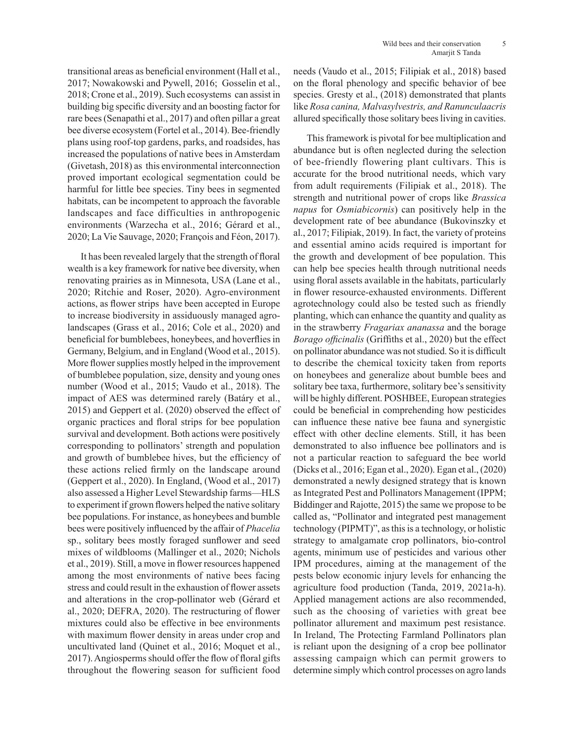transitional areas as beneficial environment (Hall et al., 2017; Nowakowski and Pywell, 2016; Gosselin et al., 2018; Crone et al., 2019). Such ecosystems can assist in building big specific diversity and an boosting factor for rare bees (Senapathi et al., 2017) and often pillar a great bee diverse ecosystem (Fortel et al., 2014). Bee-friendly plans using roof-top gardens, parks, and roadsides, has increased the populations of native bees in Amsterdam (Givetash, 2018) as this environmental interconnection proved important ecological segmentation could be harmful for little bee species. Tiny bees in segmented habitats, can be incompetent to approach the favorable landscapes and face difficulties in anthropogenic environments (Warzecha et al., 2016; Gérard et al., 2020; La Vie Sauvage, 2020; François and Féon, 2017).

It has been revealed largely that the strength of floral wealth is a key framework for native bee diversity, when renovating prairies as in Minnesota, USA (Lane et al., 2020; Ritchie and Roser, 2020). Agro-environment actions, as flower strips have been accepted in Europe to increase biodiversity in assiduously managed agrolandscapes (Grass et al., 2016; Cole et al., 2020) and beneficial for bumblebees, honeybees, and hoverflies in Germany, Belgium, and in England (Wood et al., 2015). More flower supplies mostly helped in the improvement of bumblebee population, size, density and young ones number (Wood et al., 2015; Vaudo et al., 2018). The impact of AES was determined rarely (Batáry et al., 2015) and Geppert et al. (2020) observed the effect of organic practices and floral strips for bee population survival and development. Both actions were positively corresponding to pollinators' strength and population and growth of bumblebee hives, but the efficiency of these actions relied firmly on the landscape around (Geppert et al., 2020). In England, (Wood et al., 2017) also assessed a Higher Level Stewardship farms—HLS to experiment if grown flowers helped the native solitary bee populations. For instance, as honeybees and bumble bees were positively influenced by the affair of *Phacelia*  sp., solitary bees mostly foraged sunflower and seed mixes of wildblooms (Mallinger et al., 2020; Nichols et al., 2019). Still, a move in flower resources happened among the most environments of native bees facing stress and could result in the exhaustion of flower assets and alterations in the crop-pollinator web (Gérard et al., 2020; DEFRA, 2020). The restructuring of flower mixtures could also be effective in bee environments with maximum flower density in areas under crop and uncultivated land (Quinet et al., 2016; Moquet et al., 2017). Angiosperms should offer the flow of floral gifts throughout the flowering season for sufficient food needs (Vaudo et al., 2015; Filipiak et al., 2018) based on the floral phenology and specific behavior of bee species. Gresty et al., (2018) demonstrated that plants like *Rosa canina, Malvasylvestris, and Ranunculaacris* allured specifically those solitary bees living in cavities.

This framework is pivotal for bee multiplication and abundance but is often neglected during the selection of bee-friendly flowering plant cultivars. This is accurate for the brood nutritional needs, which vary from adult requirements (Filipiak et al., 2018). The strength and nutritional power of crops like *Brassica napus* for *Osmiabicornis*) can positively help in the development rate of bee abundance (Bukovinszky et al., 2017; Filipiak, 2019). In fact, the variety of proteins and essential amino acids required is important for the growth and development of bee population. This can help bee species health through nutritional needs using floral assets available in the habitats, particularly in flower resource-exhausted environments. Different agrotechnology could also be tested such as friendly planting, which can enhance the quantity and quality as in the strawberry *Fragariax ananassa* and the borage *Borago officinalis* (Griffiths et al., 2020) but the effect on pollinator abundance was not studied. So it is difficult to describe the chemical toxicity taken from reports on honeybees and generalize about bumble bees and solitary bee taxa, furthermore, solitary bee's sensitivity will be highly different. POSHBEE, European strategies could be beneficial in comprehending how pesticides can influence these native bee fauna and synergistic effect with other decline elements. Still, it has been demonstrated to also influence bee pollinators and is not a particular reaction to safeguard the bee world (Dicks et al., 2016; Egan et al., 2020). Egan et al., (2020) demonstrated a newly designed strategy that is known as Integrated Pest and Pollinators Management (IPPM; Biddinger and Rajotte, 2015) the same we propose to be called as, "Pollinator and integrated pest management technology (PIPMT)", as this is a technology, or holistic strategy to amalgamate crop pollinators, bio-control agents, minimum use of pesticides and various other IPM procedures, aiming at the management of the pests below economic injury levels for enhancing the agriculture food production (Tanda, 2019, 2021a-h). Applied management actions are also recommended, such as the choosing of varieties with great bee pollinator allurement and maximum pest resistance. In Ireland, The Protecting Farmland Pollinators plan is reliant upon the designing of a crop bee pollinator assessing campaign which can permit growers to determine simply which control processes on agro lands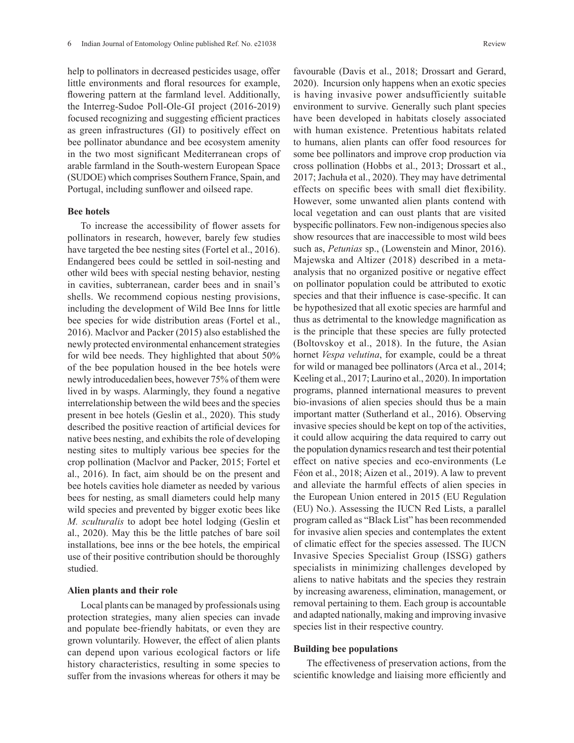help to pollinators in decreased pesticides usage, offer little environments and floral resources for example, flowering pattern at the farmland level. Additionally, the Interreg-Sudoe Poll-Ole-GI project (2016-2019) focused recognizing and suggesting efficient practices as green infrastructures (GI) to positively effect on bee pollinator abundance and bee ecosystem amenity in the two most significant Mediterranean crops of arable farmland in the South-western European Space (SUDOE) which comprises Southern France, Spain, and Portugal, including sunflower and oilseed rape.

### **Bee hotels**

To increase the accessibility of flower assets for pollinators in research, however, barely few studies have targeted the bee nesting sites (Fortel et al., 2016). Endangered bees could be settled in soil-nesting and other wild bees with special nesting behavior, nesting in cavities, subterranean, carder bees and in snail's shells. We recommend copious nesting provisions, including the development of Wild Bee Inns for little bee species for wide distribution areas (Fortel et al., 2016). Maclvor and Packer (2015) also established the newly protected environmental enhancement strategies for wild bee needs. They highlighted that about 50% of the bee population housed in the bee hotels were newly introducedalien bees, however 75% of them were lived in by wasps. Alarmingly, they found a negative interrelationship between the wild bees and the species present in bee hotels (Geslin et al., 2020). This study described the positive reaction of artificial devices for native bees nesting, and exhibits the role of developing nesting sites to multiply various bee species for the crop pollination (Maclvor and Packer, 2015; Fortel et al., 2016). In fact, aim should be on the present and bee hotels cavities hole diameter as needed by various bees for nesting, as small diameters could help many wild species and prevented by bigger exotic bees like *M. sculturalis* to adopt bee hotel lodging (Geslin et al., 2020). May this be the little patches of bare soil installations, bee inns or the bee hotels, the empirical use of their positive contribution should be thoroughly studied.

#### **Alien plants and their role**

Local plants can be managed by professionals using protection strategies, many alien species can invade and populate bee-friendly habitats, or even they are grown voluntarily. However, the effect of alien plants can depend upon various ecological factors or life history characteristics, resulting in some species to suffer from the invasions whereas for others it may be

favourable (Davis et al., 2018; Drossart and Gerard, 2020). Incursion only happens when an exotic species is having invasive power andsufficiently suitable environment to survive. Generally such plant species have been developed in habitats closely associated with human existence. Pretentious habitats related to humans, alien plants can offer food resources for some bee pollinators and improve crop production via cross pollination (Hobbs et al., 2013; Drossart et al., 2017; Jachuła et al., 2020). They may have detrimental effects on specific bees with small diet flexibility. However, some unwanted alien plants contend with local vegetation and can oust plants that are visited byspecific pollinators. Few non-indigenous species also show resources that are inaccessible to most wild bees such as, *Petunias* sp., (Lowenstein and Minor, 2016). Majewska and Altizer (2018) described in a metaanalysis that no organized positive or negative effect on pollinator population could be attributed to exotic species and that their influence is case-specific. It can be hypothesized that all exotic species are harmful and thus as detrimental to the knowledge magnification as is the principle that these species are fully protected (Boltovskoy et al., 2018). In the future, the Asian hornet *Vespa velutina*, for example, could be a threat for wild or managed bee pollinators (Arca et al., 2014; Keeling et al., 2017; Laurino et al., 2020). In importation programs, planned international measures to prevent bio-invasions of alien species should thus be a main important matter (Sutherland et al., 2016). Observing invasive species should be kept on top of the activities, it could allow acquiring the data required to carry out the population dynamics research and test their potential effect on native species and eco-environments (Le Féon et al., 2018; Aizen et al., 2019). A law to prevent and alleviate the harmful effects of alien species in the European Union entered in 2015 (EU Regulation (EU) No.). Assessing the IUCN Red Lists, a parallel program called as "Black List" has been recommended for invasive alien species and contemplates the extent of climatic effect for the species assessed. The IUCN Invasive Species Specialist Group (ISSG) gathers specialists in minimizing challenges developed by aliens to native habitats and the species they restrain by increasing awareness, elimination, management, or removal pertaining to them. Each group is accountable and adapted nationally, making and improving invasive species list in their respective country.

### **Building bee populations**

The effectiveness of preservation actions, from the scientific knowledge and liaising more efficiently and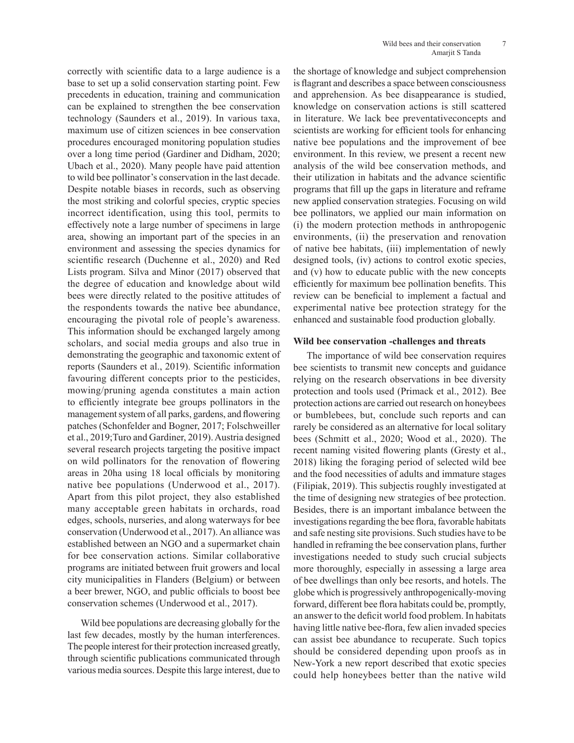correctly with scientific data to a large audience is a base to set up a solid conservation starting point. Few precedents in education, training and communication can be explained to strengthen the bee conservation technology (Saunders et al., 2019). In various taxa, maximum use of citizen sciences in bee conservation procedures encouraged monitoring population studies over a long time period (Gardiner and Didham, 2020; Ubach et al., 2020). Many people have paid attention to wild bee pollinator's conservation in the last decade. Despite notable biases in records, such as observing the most striking and colorful species, cryptic species incorrect identification, using this tool, permits to effectively note a large number of specimens in large area, showing an important part of the species in an environment and assessing the species dynamics for scientific research (Duchenne et al., 2020) and Red Lists program. Silva and Minor (2017) observed that the degree of education and knowledge about wild bees were directly related to the positive attitudes of the respondents towards the native bee abundance, encouraging the pivotal role of people's awareness. This information should be exchanged largely among scholars, and social media groups and also true in demonstrating the geographic and taxonomic extent of reports (Saunders et al., 2019). Scientific information favouring different concepts prior to the pesticides, mowing/pruning agenda constitutes a main action to efficiently integrate bee groups pollinators in the management system of all parks, gardens, and flowering patches (Schonfelder and Bogner, 2017; Folschweiller et al., 2019;Turo and Gardiner, 2019). Austria designed several research projects targeting the positive impact on wild pollinators for the renovation of flowering areas in 20ha using 18 local officials by monitoring native bee populations (Underwood et al., 2017). Apart from this pilot project, they also established many acceptable green habitats in orchards, road edges, schools, nurseries, and along waterways for bee conservation (Underwood et al., 2017). An alliance was established between an NGO and a supermarket chain for bee conservation actions. Similar collaborative programs are initiated between fruit growers and local city municipalities in Flanders (Belgium) or between a beer brewer, NGO, and public officials to boost bee conservation schemes (Underwood et al., 2017).

Wild bee populations are decreasing globally for the last few decades, mostly by the human interferences. The people interest for their protection increased greatly, through scientific publications communicated through various media sources. Despite this large interest, due to the shortage of knowledge and subject comprehension is flagrant and describes a space between consciousness and apprehension. As bee disappearance is studied, knowledge on conservation actions is still scattered in literature. We lack bee preventativeconcepts and scientists are working for efficient tools for enhancing native bee populations and the improvement of bee environment. In this review, we present a recent new analysis of the wild bee conservation methods, and their utilization in habitats and the advance scientific programs that fill up the gaps in literature and reframe new applied conservation strategies. Focusing on wild bee pollinators, we applied our main information on (i) the modern protection methods in anthropogenic environments, (ii) the preservation and renovation of native bee habitats, (iii) implementation of newly designed tools, (iv) actions to control exotic species, and (v) how to educate public with the new concepts efficiently for maximum bee pollination benefits. This review can be beneficial to implement a factual and experimental native bee protection strategy for the enhanced and sustainable food production globally.

### **Wild bee conservation -challenges and threats**

The importance of wild bee conservation requires bee scientists to transmit new concepts and guidance relying on the research observations in bee diversity protection and tools used (Primack et al., 2012). Bee protection actions are carried out research on honeybees or bumblebees, but, conclude such reports and can rarely be considered as an alternative for local solitary bees (Schmitt et al., 2020; Wood et al., 2020). The recent naming visited flowering plants (Gresty et al., 2018) liking the foraging period of selected wild bee and the food necessities of adults and immature stages (Filipiak, 2019). This subjectis roughly investigated at the time of designing new strategies of bee protection. Besides, there is an important imbalance between the investigations regarding the bee flora, favorable habitats and safe nesting site provisions. Such studies have to be handled in reframing the bee conservation plans, further investigations needed to study such crucial subjects more thoroughly, especially in assessing a large area of bee dwellings than only bee resorts, and hotels. The globe which is progressively anthropogenically-moving forward, different bee flora habitats could be, promptly, an answer to the deficit world food problem. In habitats having little native bee-flora, few alien invaded species can assist bee abundance to recuperate. Such topics should be considered depending upon proofs as in New-York a new report described that exotic species could help honeybees better than the native wild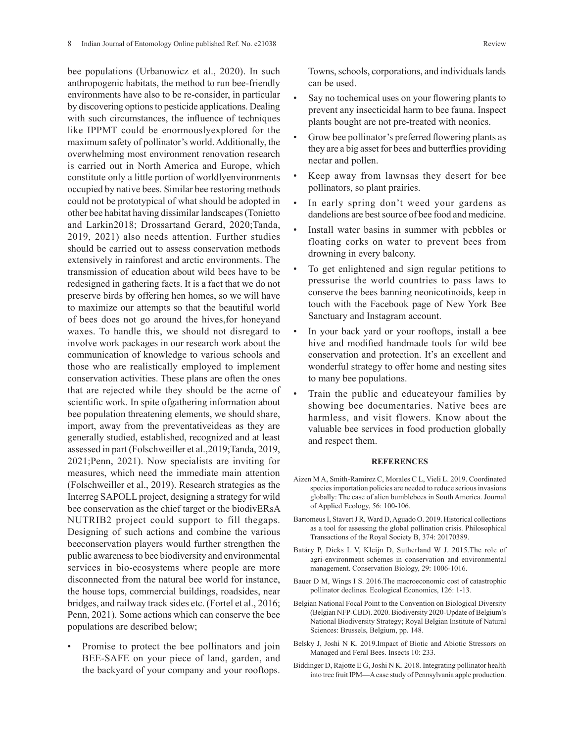bee populations (Urbanowicz et al., 2020). In such anthropogenic habitats, the method to run bee-friendly environments have also to be re-consider, in particular by discovering options to pesticide applications. Dealing with such circumstances, the influence of techniques like IPPMT could be enormouslyexplored for the maximum safety of pollinator's world. Additionally, the overwhelming most environment renovation research is carried out in North America and Europe, which constitute only a little portion of worldlyenvironments occupied by native bees. Similar bee restoring methods could not be prototypical of what should be adopted in other bee habitat having dissimilar landscapes (Tonietto and Larkin2018; Drossartand Gerard, 2020;Tanda, 2019, 2021) also needs attention. Further studies should be carried out to assess conservation methods extensively in rainforest and arctic environments. The transmission of education about wild bees have to be redesigned in gathering facts. It is a fact that we do not preserve birds by offering hen homes, so we will have to maximize our attempts so that the beautiful world of bees does not go around the hives,for honeyand waxes. To handle this, we should not disregard to involve work packages in our research work about the communication of knowledge to various schools and those who are realistically employed to implement conservation activities. These plans are often the ones that are rejected while they should be the acme of scientific work. In spite ofgathering information about bee population threatening elements, we should share, import, away from the preventativeideas as they are generally studied, established, recognized and at least assessed in part (Folschweiller et al.,2019;Tanda, 2019, 2021;Penn, 2021). Now specialists are inviting for measures, which need the immediate main attention (Folschweiller et al., 2019). Research strategies as the Interreg SAPOLL project, designing a strategy for wild bee conservation as the chief target or the biodivERsA NUTRIB2 project could support to fill thegaps. Designing of such actions and combine the various beeconservation players would further strengthen the public awareness to bee biodiversity and environmental services in bio-ecosystems where people are more disconnected from the natural bee world for instance, the house tops, commercial buildings, roadsides, near bridges, and railway track sides etc. (Fortel et al., 2016; Penn, 2021). Some actions which can conserve the bee populations are described below;

• Promise to protect the bee pollinators and join BEE-SAFE on your piece of land, garden, and the backyard of your company and your rooftops.

Towns, schools, corporations, and individuals lands can be used.

- Say no tochemical uses on your flowering plants to prevent any insecticidal harm to bee fauna. Inspect plants bought are not pre-treated with neonics.
- Grow bee pollinator's preferred flowering plants as they are a big asset for bees and butterflies providing nectar and pollen.
- Keep away from lawnsas they desert for bee pollinators, so plant prairies.
- In early spring don't weed your gardens as dandelions are best source of bee food and medicine.
- Install water basins in summer with pebbles or floating corks on water to prevent bees from drowning in every balcony.
- To get enlightened and sign regular petitions to pressurise the world countries to pass laws to conserve the bees banning neonicotinoids, keep in touch with the Facebook page of New York Bee Sanctuary and Instagram account.
- In your back yard or your rooftops, install a bee hive and modified handmade tools for wild bee conservation and protection. It's an excellent and wonderful strategy to offer home and nesting sites to many bee populations.
- Train the public and educateyour families by showing bee documentaries. Native bees are harmless, and visit flowers. Know about the valuable bee services in food production globally and respect them.

#### **REFERENCES**

- Aizen M A, Smith-Ramirez C, Morales C L, Vieli L. 2019. Coordinated species importation policies are needed to reduce serious invasions globally: The case of alien bumblebees in South America. Journal of Applied Ecology, 56: 100-106.
- Bartomeus I, Stavert J R, Ward D, Aguado O. 2019. Historical collections as a tool for assessing the global pollination crisis. Philosophical Transactions of the Royal Society B, 374: 20170389.
- Batáry P, Dicks L V, Kleijn D, Sutherland W J. 2015.The role of agri-environment schemes in conservation and environmental management. Conservation Biology, 29: 1006-1016.
- Bauer D M, Wings I S. 2016.The macroeconomic cost of catastrophic pollinator declines. Ecological Economics, 126: 1-13.
- Belgian National Focal Point to the Convention on Biological Diversity (Belgian NFP-CBD). 2020. Biodiversity 2020-Update of Belgium's National Biodiversity Strategy; Royal Belgian Institute of Natural Sciences: Brussels, Belgium, pp. 148.
- Belsky J, Joshi N K. 2019.Impact of Biotic and Abiotic Stressors on Managed and Feral Bees. Insects 10: 233.
- Biddinger D, Rajotte E G, Joshi N K. 2018. Integrating pollinator health into tree fruit IPM—A case study of Pennsylvania apple production.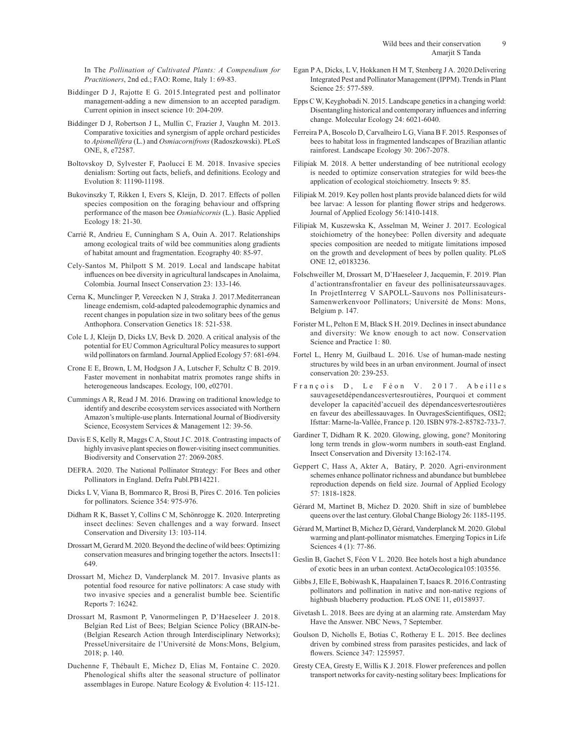In The *Pollination of Cultivated Plants: A Compendium for Practitioners*, 2nd ed.; FAO: Rome, Italy 1: 69-83.

- Biddinger D J, Rajotte E G. 2015.Integrated pest and pollinator management-adding a new dimension to an accepted paradigm. Current opinion in insect science 10: 204-209.
- Biddinger D J, Robertson J L, Mullin C, Frazier J, Vaughn M. 2013. Comparative toxicities and synergism of apple orchard pesticides to *Apismellifera* (L.) and *Osmiacornifrons* (Radoszkowski). PLoS ONE, 8, e72587.
- Boltovskoy D, Sylvester F, Paolucci E M. 2018. Invasive species denialism: Sorting out facts, beliefs, and definitions. Ecology and Evolution 8: 11190-11198.
- Bukovinszky T, Rikken I, Evers S, Kleijn, D. 2017. Effects of pollen species composition on the foraging behaviour and offspring performance of the mason bee *Osmiabicornis* (L.). Basic Applied Ecology 18: 21-30.
- Carrié R, Andrieu E, Cunningham S A, Ouin A. 2017. Relationships among ecological traits of wild bee communities along gradients of habitat amount and fragmentation. Ecography 40: 85-97.
- Cely-Santos M, Philpott S M. 2019. Local and landscape habitat influences on bee diversity in agricultural landscapes in Anolaima, Colombia. Journal Insect Conservation 23: 133-146.
- Cerna K, Munclinger P, Vereecken N J, Straka J. 2017.Mediterranean lineage endemism, cold-adapted paleodemographic dynamics and recent changes in population size in two solitary bees of the genus Anthophora. Conservation Genetics 18: 521-538.
- Cole L J, Kleijn D, Dicks LV, Bevk D. 2020. A critical analysis of the potential for EU Common Agricultural Policy measures to support wild pollinators on farmland. Journal Applied Ecology 57: 681-694.
- Crone E E, Brown, L M, Hodgson J A, Lutscher F, Schultz C B. 2019. Faster movement in nonhabitat matrix promotes range shifts in heterogeneous landscapes. Ecology, 100, e02701.
- Cummings A R, Read J M. 2016. Drawing on traditional knowledge to identify and describe ecosystem services associated with Northern Amazon's multiple-use plants. International Journal of Biodiversity Science, Ecosystem Services & Management 12: 39-56.
- Davis E S, Kelly R, Maggs C A, Stout J C. 2018. Contrasting impacts of highly invasive plant species on flower-visiting insect communities. Biodiversity and Conservation 27: 2069-2085.
- DEFRA. 2020. The National Pollinator Strategy: For Bees and other Pollinators in England. Defra Publ.PB14221.
- Dicks L V, Viana B, Bommarco R, Brosi B, Pires C. 2016. Ten policies for pollinators. Science 354: 975-976.
- Didham R K, Basset Y, Collins C M, Schönrogge K. 2020. Interpreting insect declines: Seven challenges and a way forward. Insect Conservation and Diversity 13: 103-114.
- Drossart M, Gerard M. 2020. Beyond the decline of wild bees: Optimizing conservation measures and bringing together the actors. Insects11: 649.
- Drossart M, Michez D, Vanderplanck M. 2017. Invasive plants as potential food resource for native pollinators: A case study with two invasive species and a generalist bumble bee. Scientific Reports 7: 16242.
- Drossart M, Rasmont P, Vanormelingen P, D'Haeseleer J. 2018. Belgian Red List of Bees; Belgian Science Policy (BRAIN-be- (Belgian Research Action through Interdisciplinary Networks); PresseUniversitaire de l'Université de Mons:Mons, Belgium, 2018; p. 140.
- Duchenne F, Thébault E, Michez D, Elias M, Fontaine C. 2020. Phenological shifts alter the seasonal structure of pollinator assemblages in Europe. Nature Ecology & Evolution 4: 115-121.
- Egan P A, Dicks, L V, Hokkanen H M T, Stenberg J A. 2020.Delivering Integrated Pest and Pollinator Management (IPPM). Trendsin Plant Science 25: 577-589.
- Epps C W, Keyghobadi N. 2015. Landscape genetics in a changing world: Disentangling historical and contemporary influences and inferring change. Molecular Ecology 24: 6021-6040.
- Ferreira P A, Boscolo D, Carvalheiro L G, Viana B F. 2015. Responses of bees to habitat loss in fragmented landscapes of Brazilian atlantic rainforest. Landscape Ecology 30: 2067-2078.
- Filipiak M. 2018. A better understanding of bee nutritional ecology is needed to optimize conservation strategies for wild bees-the application of ecological stoichiometry. Insects 9: 85.
- Filipiak M. 2019. Key pollen host plants provide balanced diets for wild bee larvae: A lesson for planting flower strips and hedgerows. Journal of Applied Ecology 56:1410-1418.
- Filipiak M, Kuszewska K, Asselman M, Weiner J. 2017. Ecological stoichiometry of the honeybee: Pollen diversity and adequate species composition are needed to mitigate limitations imposed on the growth and development of bees by pollen quality. PLoS ONE 12, e0183236.
- Folschweiller M, Drossart M, D'Haeseleer J, Jacquemin, F. 2019. Plan d'actiontransfrontalier en faveur des pollinisateurssauvages. In ProjetInterreg V SAPOLL-Sauvons nos Pollinisateurs-Samenwerkenvoor Pollinators; Université de Mons: Mons, Belgium p. 147.
- Forister M L, Pelton E M, Black S H. 2019. Declines in insect abundance and diversity: We know enough to act now. Conservation Science and Practice 1: 80.
- Fortel L, Henry M, Guilbaud L. 2016. Use of human-made nesting structures by wild bees in an urban environment. Journal of insect conservation 20: 239-253.
- François D, Le Féon V. 2017. Abeilles sauvagesetdépendancesvertesroutières, Pourquoi et comment developer la capacitéd'accueil des dépendancesvertesroutières en faveur des abeillessauvages. In OuvragesScientifiques, OSI2; Ifsttar: Marne-la-Vallée, France p. 120. ISBN 978-2-85782-733-7.
- Gardiner T, Didham R K. 2020. Glowing, glowing, gone? Monitoring long term trends in glow-worm numbers in south-east England. Insect Conservation and Diversity 13:162-174.
- Geppert C, Hass A, Akter A, Batáry, P. 2020. Agri-environment schemes enhance pollinator richness and abundance but bumblebee reproduction depends on field size. Journal of Applied Ecology 57: 1818-1828.
- Gérard M, Martinet B, Michez D. 2020. Shift in size of bumblebee queens over the last century. Global Change Biology 26: 1185-1195.
- Gérard M, Martinet B, Michez D, Gérard, Vanderplanck M. 2020. Global warming and plant-pollinator mismatches. Emerging Topics in Life Sciences 4 (1): 77-86.
- Geslin B, Gachet S, Féon V L. 2020. Bee hotels host a high abundance of exotic bees in an urban context. ActaOecologica105:103556.
- Gibbs J, Elle E, Bobiwash K, Haapalainen T, Isaacs R. 2016.Contrasting pollinators and pollination in native and non-native regions of highbush blueberry production. PLoS ONE 11, e0158937.
- Givetash L. 2018. Bees are dying at an alarming rate. Amsterdam May Have the Answer. NBC News, 7 September.
- Goulson D, Nicholls E, Botias C, Rotheray E L. 2015. Bee declines driven by combined stress from parasites pesticides, and lack of flowers. Science 347: 1255957.
- Gresty CEA, Gresty E, Willis K J. 2018. Flower preferences and pollen transport networks for cavity-nesting solitary bees: Implications for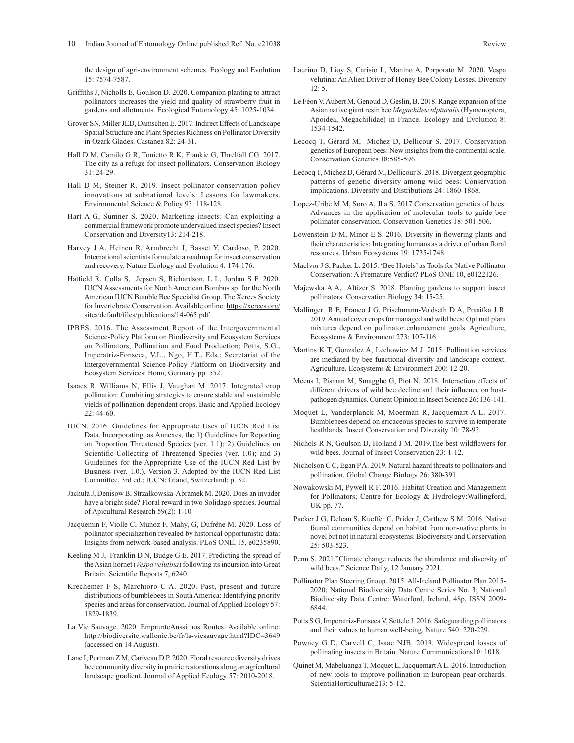the design of agri-environment schemes. Ecology and Evolution 15: 7574-7587.

- Griffiths J, Nicholls E, Goulson D. 2020. Companion planting to attract pollinators increases the yield and quality of strawberry fruit in gardens and allotments. Ecological Entomology 45: 1025-1034.
- Grover SN, Miller JED, Damschen E. 2017. Indirect Effects of Landscape Spatial Structure and Plant Species Richness on Pollinator Diversity in Ozark Glades. Castanea 82: 24-31.
- Hall D M, Camilo G R, Tonietto R K, Frankie G, Threlfall CG. 2017. The city as a refuge for insect pollinators. Conservation Biology 31: 24-29.
- Hall D M, Steiner R. 2019. Insect pollinator conservation policy innovations at subnational levels: Lessons for lawmakers. Environmental Science & Policy 93: 118-128.
- Hart A G, Sumner S. 2020. Marketing insects: Can exploiting a commercial framework promote undervalued insect species? Insect Conservation and Diversity13: 214-218.
- Harvey J A, Heinen R, Armbrecht I, Basset Y, Cardoso, P. 2020. International scientists formulate a roadmap for insect conservation and recovery. Nature Ecology and Evolution 4: 174-176.
- Hatfield R, Colla S, Jepsen S, Richardson, L L, Jordan S F. 2020. IUCN Assessments for North American Bombus sp. for the North American IUCN Bumble Bee Specialist Group. The Xerces Society for Invertebrate Conservation. Available online: https://xerces.org/ sites/default/files/publications/14-065.pdf
- IPBES. 2016. The Assessment Report of the Intergovernmental Science-Policy Platform on Biodiversity and Ecosystem Services on Pollinators, Pollination and Food Production; Potts, S.G., Imperatriz-Fonseca, V.L., Ngo, H.T., Eds.; Secretariat of the Intergovernmental Science-Policy Platform on Biodiversity and Ecosystem Services: Bonn, Germany pp. 552.
- Isaacs R, Williams N, Ellis J, Vaughan M. 2017. Integrated crop pollination: Combining strategies to ensure stable and sustainable yields of pollination-dependent crops. Basic and Applied Ecology 22: 44-60.
- IUCN. 2016. Guidelines for Appropriate Uses of IUCN Red List Data. Incorporating, as Annexes, the 1) Guidelines for Reporting on Proportion Threatened Species (ver. 1.1); 2) Guidelines on Scientific Collecting of Threatened Species (ver. 1.0); and 3) Guidelines for the Appropriate Use of the IUCN Red List by Business (ver. 1.0.). Version 3. Adopted by the IUCN Red List Committee, 3rd ed.; IUCN: Gland, Switzerland; p. 32.
- Jachuła J, Denisow B, Strzałkowska-Abramek M. 2020. Does an invader have a bright side? Floral reward in two Solidago species. Journal of Apicultural Research 59(2): 1-10
- Jacquemin F, Violle C, Munoz F, Mahy, G, Dufrêne M. 2020. Loss of pollinator specialization revealed by historical opportunistic data: Insights from network-based analysis. PLoS ONE, 15, e0235890.
- Keeling M J, Franklin D N, Budge G E. 2017. Predicting the spread of the Asian hornet (*Vespa velutina*) following its incursion into Great Britain. Scientific Reports 7, 6240.
- Krechemer F S, Marchioro C A. 2020. Past, present and future distributions of bumblebees in South America: Identifying priority species and areas for conservation. Journal of Applied Ecology 57: 1829-1839.
- La Vie Sauvage. 2020. EmprunteAussi nos Routes. Available online: http://biodiversite.wallonie.be/fr/la-viesauvage.html?IDC=3649 (accessed on 14 August).
- Lane I, Portman Z M, Cariveau D P. 2020. Floral resource diversity drives bee community diversity in prairie restorations along an agricultural landscape gradient. Journal of Applied Ecology 57: 2010-2018.
- velutina: An Alien Driver of Honey Bee Colony Losses. Diversity 12: 5.
- Le Féon V, Aubert M, Genoud D, Geslin, B. 2018. Range expansion of the Asian native giant resin bee *Megachilesculpturalis* (Hymenoptera, Apoidea, Megachilidae) in France. Ecology and Evolution 8: 1534-1542.
- Lecocq T, Gérard M, Michez D, Dellicour S. 2017. Conservation genetics of European bees: New insights from the continental scale. Conservation Genetics 18:585-596.
- Lecocq T, Michez D, Gérard M, Dellicour S. 2018. Divergent geographic patterns of genetic diversity among wild bees: Conservation implications. Diversity and Distributions 24: 1860-1868.
- Lopez-Uribe M M, Soro A, Jha S. 2017.Conservation genetics of bees: Advances in the application of molecular tools to guide bee pollinator conservation. Conservation Genetics 18: 501-506.
- Lowenstein D M, Minor E S. 2016. Diversity in flowering plants and their characteristics: Integrating humans as a driver of urban floral resources. Urban Ecosystems 19: 1735-1748.
- Maclvor J S, Packer L. 2015. 'Bee Hotels' as Tools for Native Pollinator Conservation: A Premature Verdict? PLoS ONE 10, e0122126.
- Majewska A A, Altizer S. 2018. Planting gardens to support insect pollinators. Conservation Biology 34: 15-25.
- Mallinger R E, Franco J G, Prischmann-Voldseth D A, Prasifka J R. 2019. Annual cover crops for managed and wild bees: Optimal plant mixtures depend on pollinator enhancement goals. Agriculture, Ecosystems & Environment 273: 107-116.
- Martins K T, Gonzalez A, Lechowicz M J. 2015. Pollination services are mediated by bee functional diversity and landscape context. Agriculture, Ecosystems & Environment 200: 12-20.
- Meeus I, Pisman M, Smagghe G, Piot N. 2018. Interaction effects of different drivers of wild bee decline and their influence on hostpathogen dynamics. Current Opinion in Insect Science 26: 136-141.
- Moquet L, Vanderplanck M, Moerman R, Jacquemart A L. 2017. Bumblebees depend on ericaceous species to survive in temperate heathlands. Insect Conservation and Diversity 10: 78-93.
- Nichols R N, Goulson D, Holland J M. 2019.The best wildflowers for wild bees. Journal of Insect Conservation 23: 1-12.
- Nicholson C C, Egan P A. 2019. Natural hazard threats to pollinators and pollination. Global Change Biology 26: 380-391.
- Nowakowski M, Pywell R F. 2016. Habitat Creation and Management for Pollinators; Centre for Ecology & Hydrology:Wallingford, UK pp. 77.
- Packer J G, Delean S, Kueffer C, Prider J, Carthew S M. 2016. Native faunal communities depend on habitat from non-native plants in novel but not in natural ecosystems. Biodiversity and Conservation 25: 503-523.
- Penn S. 2021."Climate change reduces the abundance and diversity of wild bees." Science Daily, 12 January 2021.
- Pollinator Plan Steering Group. 2015. All-Ireland Pollinator Plan 2015- 2020; National Biodiversity Data Centre Series No. 3; National Biodiversity Data Centre: Waterford, Ireland, 48p, ISSN 2009- 6844.
- Potts S G, Imperatriz-Fonseca V, Settele J. 2016. Safeguarding pollinators and their values to human well-being. Nature 540: 220-229.
- Powney G D, Carvell C, Isaac NJB. 2019. Widespread losses of pollinating insects in Britain. Nature Communications10: 1018.
- Quinet M, Mabeluanga T, Moquet L, Jacquemart A L. 2016. Introduction of new tools to improve pollination in European pear orchards. ScientiaHorticulturae213: 5-12.